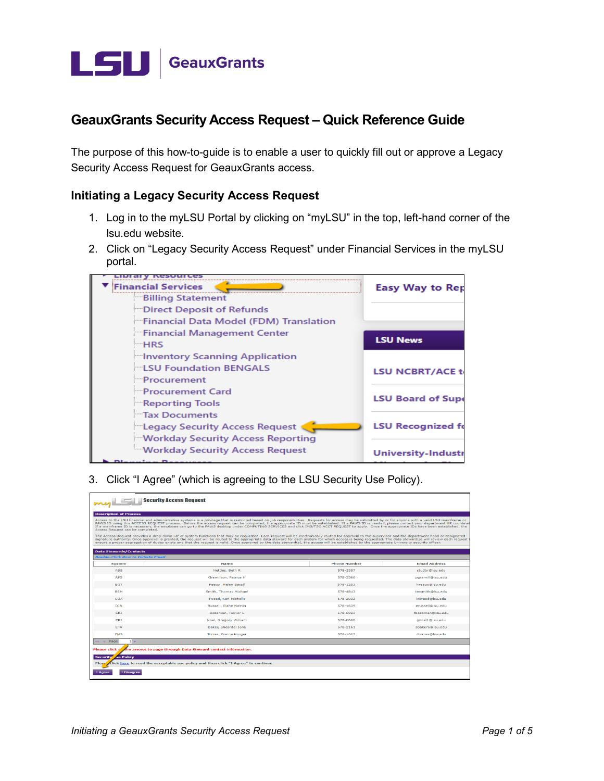

## **GeauxGrants Security Access Request - Quick Reference Guide**

The purpose of this how-to-guide is to enable a user to quickly fill out or approve a Legacy Security Access Request for GeauxGrants access.

## **Initiating a Legacy Security Access Request**

- 1. Log in to the myLSU Portal by clicking on "myLSU" in the top, left-hand corner of the Isu.edu website.
- 2. Click on "Legacy Security Access Request" under Financial Services in the myLSU portal.



3. Click "I Agree" (which is agreeing to the LSU Security Use Policy).

| <b>Security Access Request</b>                                                                                                                                                                                                                                                                                                                                                                                                                                                                                                                                                                                                                                                                                                                                                                                                                                                                                                                                                                                                                                                                                                                                                                                                                                                       |                             |                     |                      |  |  |
|--------------------------------------------------------------------------------------------------------------------------------------------------------------------------------------------------------------------------------------------------------------------------------------------------------------------------------------------------------------------------------------------------------------------------------------------------------------------------------------------------------------------------------------------------------------------------------------------------------------------------------------------------------------------------------------------------------------------------------------------------------------------------------------------------------------------------------------------------------------------------------------------------------------------------------------------------------------------------------------------------------------------------------------------------------------------------------------------------------------------------------------------------------------------------------------------------------------------------------------------------------------------------------------|-----------------------------|---------------------|----------------------|--|--|
| <b>Description of Process</b>                                                                                                                                                                                                                                                                                                                                                                                                                                                                                                                                                                                                                                                                                                                                                                                                                                                                                                                                                                                                                                                                                                                                                                                                                                                        |                             |                     |                      |  |  |
| Access to the LSU financial and administrative systems is a privilege that is restricted based on job responsibilities. Requests for access may be submitted by or for anyone with a valid LSU mainframe or<br>PAWS ID using this ACCESS REQUEST process. Before the access request can be completed, the appropriate ID must be established. If a PAWS ID is needed, please contact your department HR coordinat<br>If a mainframe ID is necessary, the employee can go to the PAWS desktop under COMPUTING SERVICES and click IMS/TSO ACCT REOUEST to apply. Once the appropriate IDs have been established, the<br>Access Request can be completed.<br>The Access Request provides a drop-down list of system functions that may be requested. Each request will be electronically routed for approval to the supervisor and the department head or designated<br>signature authority. Once approval is granted, the request will be routed to the appropriate data steward for each system for which access is being requested. The data steward(s) will review each request<br>ensure a proper segregation of duties exists and that the request is valid. Once approved by the data steward(s), the access will be established by the appropriate University security officer. |                             |                     |                      |  |  |
| <b>Data Stewards/Contacts</b>                                                                                                                                                                                                                                                                                                                                                                                                                                                                                                                                                                                                                                                                                                                                                                                                                                                                                                                                                                                                                                                                                                                                                                                                                                                        |                             |                     |                      |  |  |
| <b>Double-Click Row to Initiate Email</b>                                                                                                                                                                                                                                                                                                                                                                                                                                                                                                                                                                                                                                                                                                                                                                                                                                                                                                                                                                                                                                                                                                                                                                                                                                            |                             |                     |                      |  |  |
| <b>System</b>                                                                                                                                                                                                                                                                                                                                                                                                                                                                                                                                                                                                                                                                                                                                                                                                                                                                                                                                                                                                                                                                                                                                                                                                                                                                        | <b>Name</b>                 | <b>Phone Number</b> | <b>Email Address</b> |  |  |
| <b>ABS</b>                                                                                                                                                                                                                                                                                                                                                                                                                                                                                                                                                                                                                                                                                                                                                                                                                                                                                                                                                                                                                                                                                                                                                                                                                                                                           | Nettles, Beth R             | 578-3357            | studbr@lsu.edu       |  |  |
| <b>APS</b>                                                                                                                                                                                                                                                                                                                                                                                                                                                                                                                                                                                                                                                                                                                                                                                                                                                                                                                                                                                                                                                                                                                                                                                                                                                                           | Gremillion, Patrice H       | 578-3366            | pgremill@lsu.edu     |  |  |
| <b>BGT</b>                                                                                                                                                                                                                                                                                                                                                                                                                                                                                                                                                                                                                                                                                                                                                                                                                                                                                                                                                                                                                                                                                                                                                                                                                                                                           | Reaux, Helen Bassil         | 578-1253            | hreaux@lsu.edu       |  |  |
| <b>BSM</b>                                                                                                                                                                                                                                                                                                                                                                                                                                                                                                                                                                                                                                                                                                                                                                                                                                                                                                                                                                                                                                                                                                                                                                                                                                                                           | Smith, Thomas Michael       | 578-4843            | tmsmith@lsu.edu      |  |  |
| <b>COA</b>                                                                                                                                                                                                                                                                                                                                                                                                                                                                                                                                                                                                                                                                                                                                                                                                                                                                                                                                                                                                                                                                                                                                                                                                                                                                           | Tweed, Keri Michelle        | 578-2032            | ktweed@lsu.edu       |  |  |
| <b>DIR</b>                                                                                                                                                                                                                                                                                                                                                                                                                                                                                                                                                                                                                                                                                                                                                                                                                                                                                                                                                                                                                                                                                                                                                                                                                                                                           | Russell, Elahe Namin        | 578-1639            | erussell@isu.edu     |  |  |
| ERI                                                                                                                                                                                                                                                                                                                                                                                                                                                                                                                                                                                                                                                                                                                                                                                                                                                                                                                                                                                                                                                                                                                                                                                                                                                                                  | Bozeman, Toliver L          | 578-6923            | thozeman@lsu.edu     |  |  |
| ERI                                                                                                                                                                                                                                                                                                                                                                                                                                                                                                                                                                                                                                                                                                                                                                                                                                                                                                                                                                                                                                                                                                                                                                                                                                                                                  | Noel, Gregory William       | 578-0606            | anoel1@lsu.edu       |  |  |
| <b>ETA</b>                                                                                                                                                                                                                                                                                                                                                                                                                                                                                                                                                                                                                                                                                                                                                                                                                                                                                                                                                                                                                                                                                                                                                                                                                                                                           | <b>Baker, Sheantel Ione</b> | 578-2161            | sbaker6@lsu.edu      |  |  |
| <b>FMS</b>                                                                                                                                                                                                                                                                                                                                                                                                                                                                                                                                                                                                                                                                                                                                                                                                                                                                                                                                                                                                                                                                                                                                                                                                                                                                           | Torres, Donna Kruger        | 578-1623            | dtorres@lsu.edu      |  |  |
| Page<br>$1 -$<br><b>Contract</b>                                                                                                                                                                                                                                                                                                                                                                                                                                                                                                                                                                                                                                                                                                                                                                                                                                                                                                                                                                                                                                                                                                                                                                                                                                                     |                             |                     |                      |  |  |
| <b>Please click</b><br>the arrows to page through Data Steward contact information.                                                                                                                                                                                                                                                                                                                                                                                                                                                                                                                                                                                                                                                                                                                                                                                                                                                                                                                                                                                                                                                                                                                                                                                                  |                             |                     |                      |  |  |
| <b>Security</b><br>se Policy                                                                                                                                                                                                                                                                                                                                                                                                                                                                                                                                                                                                                                                                                                                                                                                                                                                                                                                                                                                                                                                                                                                                                                                                                                                         |                             |                     |                      |  |  |
| Click here to read the acceptable use policy and then click "I Agree" to continue<br>Pleas                                                                                                                                                                                                                                                                                                                                                                                                                                                                                                                                                                                                                                                                                                                                                                                                                                                                                                                                                                                                                                                                                                                                                                                           |                             |                     |                      |  |  |
| <b>I</b> Disagree<br><b>I</b> Agree                                                                                                                                                                                                                                                                                                                                                                                                                                                                                                                                                                                                                                                                                                                                                                                                                                                                                                                                                                                                                                                                                                                                                                                                                                                  |                             |                     |                      |  |  |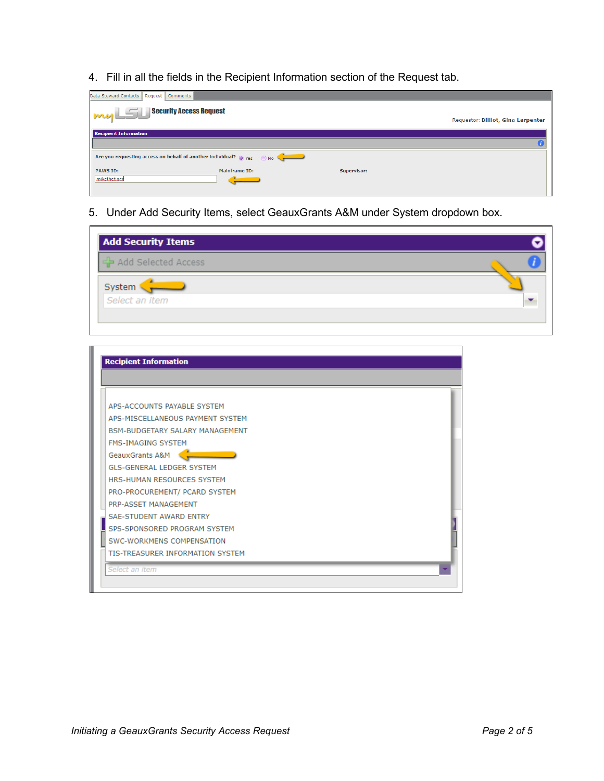4. Fill in all the fields in the Recipient Information section of the Request tab.

| Data Steward Contacts<br>Request<br>Comments                                            |               |             |                                    |
|-----------------------------------------------------------------------------------------|---------------|-------------|------------------------------------|
| <b>Security Access Request</b><br>myLSI                                                 |               |             | Requestor: Billiot, Gina Larpenter |
| <b>Recipient Information</b>                                                            |               |             |                                    |
|                                                                                         |               |             |                                    |
| Are you requesting access on behalf of another individual? $\bigcirc$ Yes $\bigcirc$ No |               |             |                                    |
| <b>PAWS ID:</b>                                                                         | Mainframe ID: | Supervisor: |                                    |
| mikethetigen                                                                            |               |             |                                    |
|                                                                                         |               |             |                                    |

5. Under Add Security Items, select GeauxGrants A&M under System dropdown box.

| <b>Add Security Items</b> |  |
|---------------------------|--|
| 국 Add Selected Access     |  |
| System                    |  |
| Select an item            |  |
|                           |  |

| <b>Recipient Information</b>           |  |
|----------------------------------------|--|
|                                        |  |
| APS-ACCOUNTS PAYABLE SYSTEM            |  |
| APS-MISCELLANEOUS PAYMENT SYSTEM       |  |
| <b>BSM-BUDGETARY SALARY MANAGEMENT</b> |  |
| <b>FMS-IMAGING SYSTEM</b>              |  |
| GeauxGrants A&M                        |  |
| <b>GLS-GENERAL LEDGER SYSTEM</b>       |  |
| HRS-HUMAN RESOURCES SYSTEM             |  |
| PRO-PROCUREMENT/ PCARD SYSTEM          |  |
| PRP-ASSET MANAGEMENT                   |  |
| <b>SAE-STUDENT AWARD ENTRY</b>         |  |
| SPS-SPONSORED PROGRAM SYSTEM           |  |
|                                        |  |
| SWC-WORKMENS COMPENSATION              |  |
| TIS-TREASURER INFORMATION SYSTEM       |  |
| Select an item                         |  |
|                                        |  |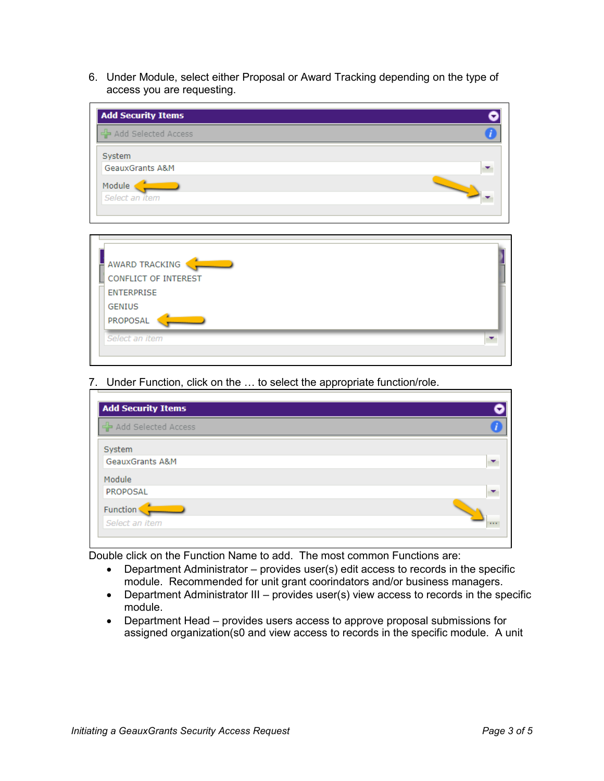access you are requesting. 6. Under Module, select either Proposal or Award Tracking depending on the type of



7. Under Function, click on the ... to select the appropriate function/role.

| <b>Add Security Items</b>  |  |
|----------------------------|--|
| Add Selected Access        |  |
| System                     |  |
| <b>GeauxGrants A&amp;M</b> |  |
| Module                     |  |
| PROPOSAL                   |  |
| Function                   |  |
| Select an item             |  |

Double click on the Function Name to add. The most common Functions are:

- • Department Administrator provides user(s) edit access to records in the specific module. Recommended for unit grant coorindators and/or business managers.
- • Department Administrator III provides user(s) view access to records in the specific module.
- • Department Head provides users access to approve proposal submissions for assigned organization(s0 and view access to records in the specific module. A unit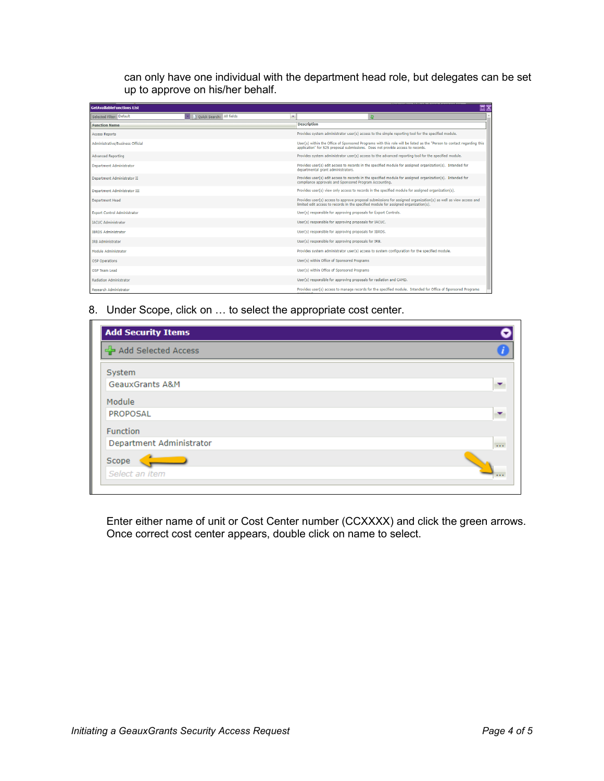can only have one individual with the department head role, but delegates can be set up to approve on his/her behalf.

| <b>GetAvailableFunctions List</b> |                            |   |                                                                                                                                                                                                          | ⊡ x |
|-----------------------------------|----------------------------|---|----------------------------------------------------------------------------------------------------------------------------------------------------------------------------------------------------------|-----|
| Selected Filter: Default          | 1 Quick Search: All fields | ۰ | <b>ST</b>                                                                                                                                                                                                |     |
| <b>Eunction Name</b>              |                            |   | <b>Description</b>                                                                                                                                                                                       |     |
| <b>Access Reports</b>             |                            |   | Provides system administrator user(s) access to the simple reporting tool for the specified module.                                                                                                      |     |
| Administrative/Business Official  |                            |   | User(s) within the Office of Sponsored Programs with this role will be listed as the "Person to contact regarding this<br>application" for S2S proposal submissions. Does not provide access to records. |     |
| <b>Advanced Reporting</b>         |                            |   | Provides system administrator user(s) access to the advanced reporting tool for the specified module.                                                                                                    |     |
| <b>Department Administrator</b>   |                            |   | Provides user(s) edit access to records in the specified module for assigned organization(s). Intended for<br>departmental grant administrators.                                                         |     |
| Department Administrator II       |                            |   | Provides user(s) edit access to records in the specified module for assigned organization(s). Intended for<br>compliance approvals and Sponsored Program Accounting.                                     |     |
| Department Administrator III      |                            |   | Provides user(s) view only access to records in the specified module for assigned organization(s).                                                                                                       |     |
| <b>Department Head</b>            |                            |   | Provides user(s) access to approve proposal submissions for assigned organization(s) as well as view access and<br>limited edit access to records in the specified module for assigned organization(s).  |     |
| Exnort Control Administrator      |                            |   | User(s) responsible for approving proposals for Export Controls.                                                                                                                                         |     |
| <b>IACUC Administrator</b>        |                            |   | User(s) responsible for approving proposals for IACUC.                                                                                                                                                   |     |
| <b>IBRDS Administrator</b>        |                            |   | User(s) responsible for approving proposals for IBRDS.                                                                                                                                                   |     |
| <b>IRB Administrator</b>          |                            |   | User(s) responsible for approving proposals for IRB.                                                                                                                                                     |     |
| Module Administrator              |                            |   | Provides system administrator user(s) access to system configuration for the specified module.                                                                                                           |     |
| <b>OSP Operations</b>             |                            |   | User(s) within Office of Sponsored Programs                                                                                                                                                              |     |
| OSP Team Lead                     |                            |   | User(s) within Office of Sponsored Programs                                                                                                                                                              |     |
| <b>Radiation Administrator</b>    |                            |   | User(s) responsible for approving proposals for radiation and CAMD.                                                                                                                                      |     |
| <b>Research Administrator</b>     |                            |   | Provides user(s) access to manage records for the specified module. Intended for Office of Sponsored Programs                                                                                            |     |

8. Under Scope, click on ... to select the appropriate cost center.

| <b>Add Security Items</b>  |                |
|----------------------------|----------------|
| 국 Add Selected Access      |                |
| System                     |                |
| <b>GeauxGrants A&amp;M</b> |                |
| Module                     |                |
| PROPOSAL                   |                |
| Function                   |                |
| Department Administrator   | $\mathbf{r}$ . |
| Scope                      |                |
| Select an item             | $\cdots$       |

Enter either name of unit or Cost Center number (CCXXXX) and click the green arrows. Once correct cost center appears, double click on name to select.